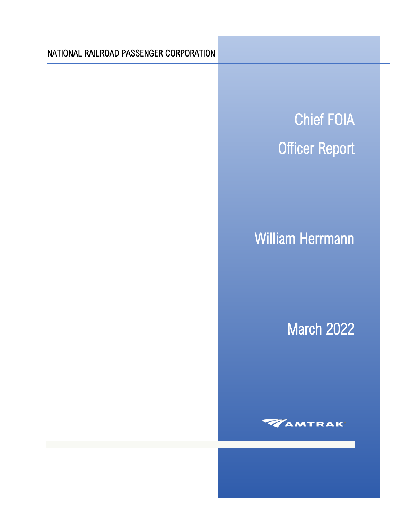# NATIONAL RAILROAD PASSENGER CORPORATION

Chief FOIA Officer Report

# William Herrmann

March 2022

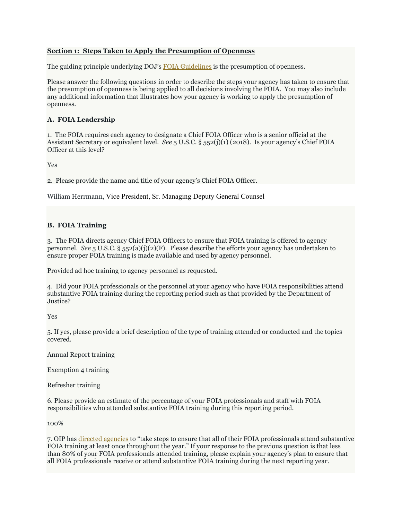#### **Section 1: Steps Taken to Apply the Presumption of Openness**

The guiding principle underlying DOJ's [FOIA Guidelines i](http://justice.gov/ag/foia-memo-march2009.pdf)s the presumption of openness.

Please answer the following questions in order to describe the steps your agency has taken to ensure that the presumption of openness is being applied to all decisions involving the FOIA. You may also include any additional information that illustrates how your agency is working to apply the presumption of openness.

### **A. FOIA Leadership**

1. The FOIA requires each agency to designate a Chief FOIA Officer who is a senior official at the Assistant Secretary or equivalent level. *See* 5 U.S.C. § 552(j)(1) (2018). Is your agency's Chief FOIA Officer at this level?

Yes

2. Please provide the name and title of your agency's Chief FOIA Officer.

William Herrmann, Vice President, Sr. Managing Deputy General Counsel

### **B. FOIA Training**

3. The FOIA directs agency Chief FOIA Officers to ensure that FOIA training is offered to agency personnel. *See* 5 U.S.C. § 552(a)(j)(2)(F). Please describe the efforts your agency has undertaken to ensure proper FOIA training is made available and used by agency personnel.

Provided ad hoc training to agency personnel as requested.

4. Did your FOIA professionals or the personnel at your agency who have FOIA responsibilities attend substantive FOIA training during the reporting period such as that provided by the Department of Justice?

Yes

5. If yes, please provide a brief description of the type of training attended or conducted and the topics covered.

Annual Report training

Exemption 4 training

Refresher training

6. Please provide an estimate of the percentage of your FOIA professionals and staff with FOIA responsibilities who attended substantive FOIA training during this reporting period.

100%

7. OIP has [directed agencies](https://www.justice.gov/oip/oip-guidance-9) to "take steps to ensure that all of their FOIA professionals attend substantive FOIA training at least once throughout the year." If your response to the previous question is that less than 80% of your FOIA professionals attended training, please explain your agency's plan to ensure that all FOIA professionals receive or attend substantive FOIA training during the next reporting year.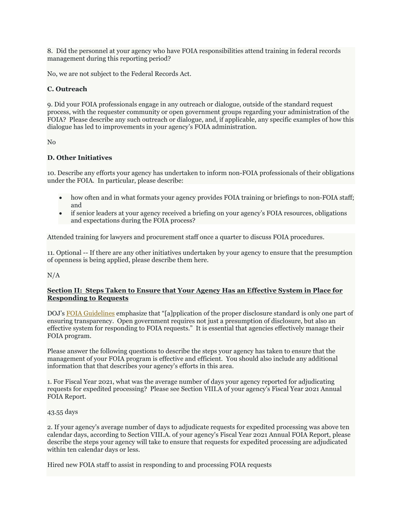8. Did the personnel at your agency who have FOIA responsibilities attend training in federal records management during this reporting period?

No, we are not subject to the Federal Records Act.

## **C. Outreach**

9. Did your FOIA professionals engage in any outreach or dialogue, outside of the standard request process, with the requester community or open government groups regarding your administration of the FOIA? Please describe any such outreach or dialogue, and, if applicable, any specific examples of how this dialogue has led to improvements in your agency's FOIA administration.

#### No

### **D. Other Initiatives**

10. Describe any efforts your agency has undertaken to inform non-FOIA professionals of their obligations under the FOIA. In particular, please describe:

- how often and in what formats your agency provides FOIA training or briefings to non-FOIA staff; and
- if senior leaders at your agency received a briefing on your agency's FOIA resources, obligations and expectations during the FOIA process?

Attended training for lawyers and procurement staff once a quarter to discuss FOIA procedures.

11. Optional -- If there are any other initiatives undertaken by your agency to ensure that the presumption of openness is being applied, please describe them here.

### N/A

#### **Section II: Steps Taken to Ensure that Your Agency Has an Effective System in Place for Responding to Requests**

DOJ's [FOIA Guidelines](http://justice.gov/ag/foia-memo-march2009.pdf) emphasize that "[a]pplication of the proper disclosure standard is only one part of ensuring transparency. Open government requires not just a presumption of disclosure, but also an effective system for responding to FOIA requests." It is essential that agencies effectively manage their FOIA program.

Please answer the following questions to describe the steps your agency has taken to ensure that the management of your FOIA program is effective and efficient. You should also include any additional information that that describes your agency's efforts in this area.

1. For Fiscal Year 2021, what was the average number of days your agency reported for adjudicating requests for expedited processing? Please see Section VIII.A of your agency's Fiscal Year 2021 Annual FOIA Report.

43.55 days

2. If your agency's average number of days to adjudicate requests for expedited processing was above ten calendar days, according to Section VIII.A. of your agency's Fiscal Year 2021 Annual FOIA Report, please describe the steps your agency will take to ensure that requests for expedited processing are adjudicated within ten calendar days or less.

Hired new FOIA staff to assist in responding to and processing FOIA requests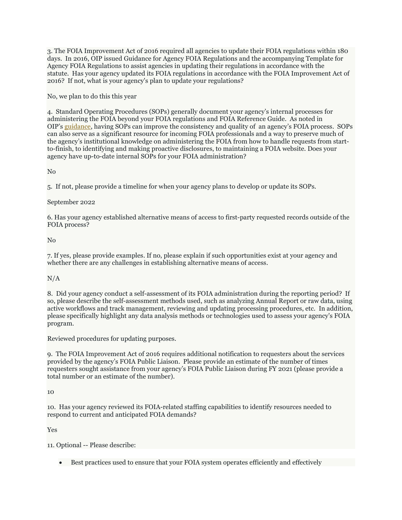3. The FOIA Improvement Act of 2016 required all agencies to update their FOIA regulations within 180 days. In 2016, OIP issued Guidance for Agency FOIA Regulations and the accompanying Template for Agency FOIA Regulations to assist agencies in updating their regulations in accordance with the statute. Has your agency updated its FOIA regulations in accordance with the FOIA Improvement Act of 2016? If not, what is your agency's plan to update your regulations?

No, we plan to do this this year

4. Standard Operating Procedures (SOPs) generally document your agency's internal processes for administering the FOIA beyond your FOIA regulations and FOIA Reference Guide. As noted in OIP's [guidance,](https://www.justice.gov/oip/oip-guidance-further-improvement-based-2021-chief-foia-officer-report-review-and-assessment) having SOPs can improve the consistency and quality of an agency's FOIA process. SOPs can also serve as a significant resource for incoming FOIA professionals and a way to preserve much of the agency's institutional knowledge on administering the FOIA from how to handle requests from startto-finish, to identifying and making proactive disclosures, to maintaining a FOIA website. Does your agency have up-to-date internal SOPs for your FOIA administration?

No

5. If not, please provide a timeline for when your agency plans to develop or update its SOPs.

### September 2022

6. Has your agency established alternative means of access to first-party requested records outside of the FOIA process?

#### No

7. If yes, please provide examples. If no, please explain if such opportunities exist at your agency and whether there are any challenges in establishing alternative means of access.

### $N/A$

8. Did your agency conduct a self-assessment of its FOIA administration during the reporting period? If so, please describe the self-assessment methods used, such as analyzing Annual Report or raw data, using active workflows and track management, reviewing and updating processing procedures, etc. In addition, please specifically highlight any data analysis methods or technologies used to assess your agency's FOIA program.

Reviewed procedures for updating purposes.

9. The FOIA Improvement Act of 2016 requires additional notification to requesters about the services provided by the agency's FOIA Public Liaison. Please provide an estimate of the number of times requesters sought assistance from your agency's FOIA Public Liaison during FY 2021 (please provide a total number or an estimate of the number).

10

10. Has your agency reviewed its FOIA-related staffing capabilities to identify resources needed to respond to current and anticipated FOIA demands?

Yes

11. Optional -- Please describe:

• Best practices used to ensure that your FOIA system operates efficiently and effectively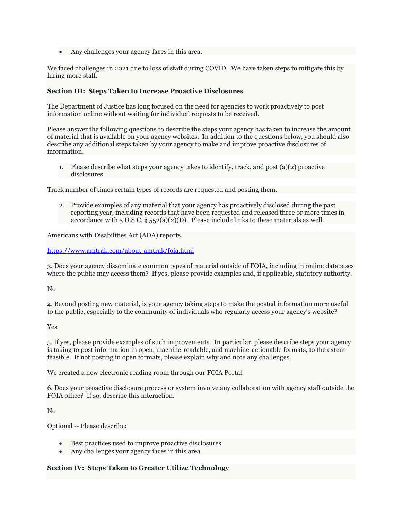• Any challenges your agency faces in this area.

We faced challenges in 2021 due to loss of staff during COVID. We have taken steps to mitigate this by hiring more staff.

#### **Section III: Steps Taken to Increase Proactive Disclosures**

The Department of Justice has long focused on the need for agencies to work proactively to post information online without waiting for individual requests to be received.

Please answer the following questions to describe the steps your agency has taken to increase the amount of material that is available on your agency websites. In addition to the questions below, you should also describe any additional steps taken by your agency to make and improve proactive disclosures of information.

1. Please describe what steps your agency takes to identify, track, and post (a)(2) proactive disclosures.

Track number of times certain types of records are requested and posting them.

2. Provide examples of any material that your agency has proactively disclosed during the past reporting year, including records that have been requested and released three or more times in accordance with 5 U.S.C.  $\S$  552(a)(2)(D). Please include links to these materials as well.

Americans with Disabilities Act (ADA) reports.

<https://www.amtrak.com/about-amtrak/foia.html>

3. Does your agency disseminate common types of material outside of FOIA, including in online databases where the public may access them? If yes, please provide examples and, if applicable, statutory authority.

No

4. Beyond posting new material, is your agency taking steps to make the posted information more useful to the public, especially to the community of individuals who regularly access your agency's website?

Yes

5. If yes, please provide examples of such improvements. In particular, please describe steps your agency is taking to post information in open, machine-readable, and machine-actionable formats, to the extent feasible. If not posting in open formats, please explain why and note any challenges.

We created a new electronic reading room through our FOIA Portal.

6. Does your proactive disclosure process or system involve any collaboration with agency staff outside the FOIA office? If so, describe this interaction.

No

Optional -- Please describe:

- Best practices used to improve proactive disclosures
- Any challenges your agency faces in this area

#### **Section IV: Steps Taken to Greater Utilize Technology**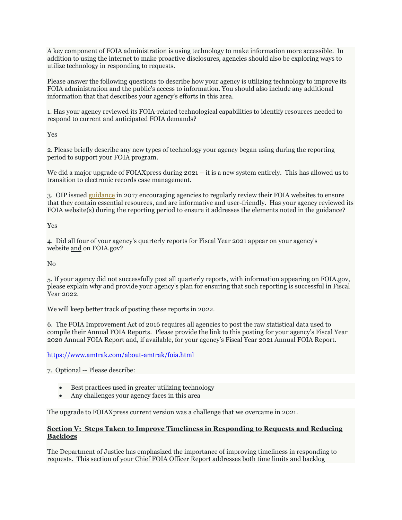A key component of FOIA administration is using technology to make information more accessible. In addition to using the internet to make proactive disclosures, agencies should also be exploring ways to utilize technology in responding to requests.

Please answer the following questions to describe how your agency is utilizing technology to improve its FOIA administration and the public's access to information. You should also include any additional information that that describes your agency's efforts in this area.

1. Has your agency reviewed its FOIA-related technological capabilities to identify resources needed to respond to current and anticipated FOIA demands?

Yes

2. Please briefly describe any new types of technology your agency began using during the reporting period to support your FOIA program.

We did a major upgrade of FOIAXpress during 2021 – it is a new system entirely. This has allowed us to transition to electronic records case management.

3. OIP issued [guidance](https://www.justice.gov/oip/oip-guidance/OIP%20Guidance%3A%20%20Agency%20FOIA%20Websites%202.0) in 2017 encouraging agencies to regularly review their FOIA websites to ensure that they contain essential resources, and are informative and user-friendly. Has your agency reviewed its FOIA website(s) during the reporting period to ensure it addresses the elements noted in the guidance?

Yes

4. Did all four of your agency's quarterly reports for Fiscal Year 2021 appear on your agency's website and on FOIA.gov?

No

5. If your agency did not successfully post all quarterly reports, with information appearing on FOIA.gov, please explain why and provide your agency's plan for ensuring that such reporting is successful in Fiscal Year 2022.

We will keep better track of posting these reports in 2022.

6. The FOIA Improvement Act of 2016 requires all agencies to post the raw statistical data used to compile their Annual FOIA Reports. Please provide the link to this posting for your agency's Fiscal Year 2020 Annual FOIA Report and, if available, for your agency's Fiscal Year 2021 Annual FOIA Report.

### <https://www.amtrak.com/about-amtrak/foia.html>

7. Optional -- Please describe:

- Best practices used in greater utilizing technology
- Any challenges your agency faces in this area

The upgrade to FOIAXpress current version was a challenge that we overcame in 2021.

#### **Section V: Steps Taken to Improve Timeliness in Responding to Requests and Reducing Backlogs**

The Department of Justice has emphasized the importance of improving timeliness in responding to requests. This section of your Chief FOIA Officer Report addresses both time limits and backlog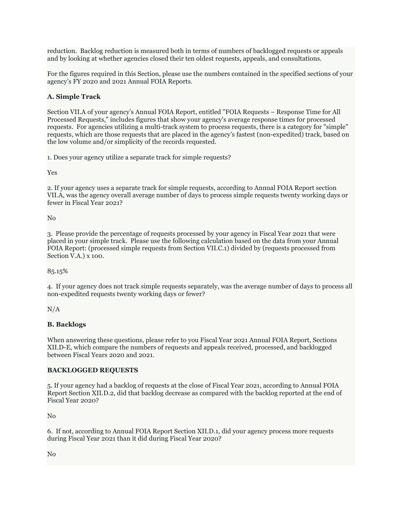reduction. Backlog reduction is measured both in terms of numbers of backlogged requests or appeals and by looking at whether agencies closed their ten oldest requests, appeals, and consultations.

For the figures required in this Section, please use the numbers contained in the specified sections of your agency's FY 2020 and 2021 Annual FOIA Reports.

### **A. Simple Track**

Section VII.A of your agency's Annual FOIA Report, entitled "FOIA Requests – Response Time for All Processed Requests," includes figures that show your agency's average response times for processed requests. For agencies utilizing a multi-track system to process requests, there is a category for "simple" requests, which are those requests that are placed in the agency's fastest (non-expedited) track, based on the low volume and/or simplicity of the records requested.

1. Does your agency utilize a separate track for simple requests?

Yes

2. If your agency uses a separate track for simple requests, according to Annual FOIA Report section VII.A, was the agency overall average number of days to process simple requests twenty working days or fewer in Fiscal Year 2021?

No

3. Please provide the percentage of requests processed by your agency in Fiscal Year 2021 that were placed in your simple track. Please use the following calculation based on the data from your Annual FOIA Report: (processed simple requests from Section VII.C.1) divided by (requests processed from Section V.A.) x 100.

85.15%

4. If your agency does not track simple requests separately, was the average number of days to process all non-expedited requests twenty working days or fewer?

 $N/A$ 

### **B. Backlogs**

When answering these questions, please refer to you Fiscal Year 2021 Annual FOIA Report, Sections XII.D-E, which compare the numbers of requests and appeals received, processed, and backlogged between Fiscal Years 2020 and 2021.

#### **BACKLOGGED REQUESTS**

5. If your agency had a backlog of requests at the close of Fiscal Year 2021, according to Annual FOIA Report Section XII.D.2, did that backlog decrease as compared with the backlog reported at the end of Fiscal Year 2020?

No

6. If not, according to Annual FOIA Report Section XII.D.1, did your agency process more requests during Fiscal Year 2021 than it did during Fiscal Year 2020?

No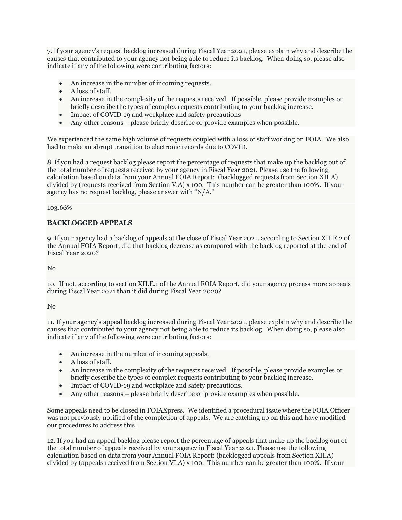7. If your agency's request backlog increased during Fiscal Year 2021, please explain why and describe the causes that contributed to your agency not being able to reduce its backlog. When doing so, please also indicate if any of the following were contributing factors:

- An increase in the number of incoming requests.
- A loss of staff.
- An increase in the complexity of the requests received. If possible, please provide examples or briefly describe the types of complex requests contributing to your backlog increase.
- Impact of COVID-19 and workplace and safety precautions
- Any other reasons please briefly describe or provide examples when possible.

We experienced the same high volume of requests coupled with a loss of staff working on FOIA. We also had to make an abrupt transition to electronic records due to COVID.

8. If you had a request backlog please report the percentage of requests that make up the backlog out of the total number of requests received by your agency in Fiscal Year 2021. Please use the following calculation based on data from your Annual FOIA Report: (backlogged requests from Section XII.A) divided by (requests received from Section V.A) x 100. This number can be greater than 100%. If your agency has no request backlog, please answer with "N/A."

103.66%

### **BACKLOGGED APPEALS**

9. If your agency had a backlog of appeals at the close of Fiscal Year 2021, according to Section XII.E.2 of the Annual FOIA Report, did that backlog decrease as compared with the backlog reported at the end of Fiscal Year 2020?

No

10. If not, according to section XII.E.1 of the Annual FOIA Report, did your agency process more appeals during Fiscal Year 2021 than it did during Fiscal Year 2020?

No

11. If your agency's appeal backlog increased during Fiscal Year 2021, please explain why and describe the causes that contributed to your agency not being able to reduce its backlog. When doing so, please also indicate if any of the following were contributing factors:

- An increase in the number of incoming appeals.
- A loss of staff.
- An increase in the complexity of the requests received. If possible, please provide examples or briefly describe the types of complex requests contributing to your backlog increase.
- Impact of COVID-19 and workplace and safety precautions.
- Any other reasons please briefly describe or provide examples when possible.

Some appeals need to be closed in FOIAXpress. We identified a procedural issue where the FOIA Officer was not previously notified of the completion of appeals. We are catching up on this and have modified our procedures to address this.

12. If you had an appeal backlog please report the percentage of appeals that make up the backlog out of the total number of appeals received by your agency in Fiscal Year 2021. Please use the following calculation based on data from your Annual FOIA Report: (backlogged appeals from Section XII.A) divided by (appeals received from Section VI.A) x 100. This number can be greater than 100%. If your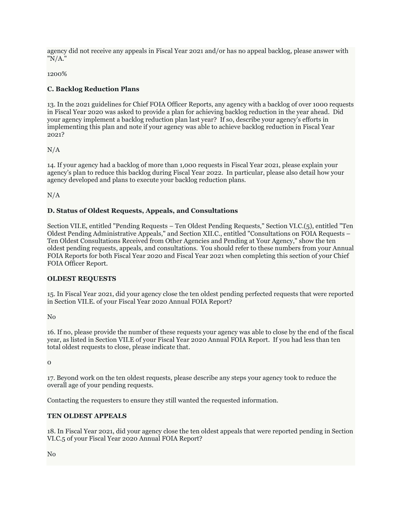agency did not receive any appeals in Fiscal Year 2021 and/or has no appeal backlog, please answer with "N/A."

1200%

# **C. Backlog Reduction Plans**

13. In the 2021 guidelines for Chief FOIA Officer Reports, any agency with a backlog of over 1000 requests in Fiscal Year 2020 was asked to provide a plan for achieving backlog reduction in the year ahead. Did your agency implement a backlog reduction plan last year? If so, describe your agency's efforts in implementing this plan and note if your agency was able to achieve backlog reduction in Fiscal Year 2021?

 $N/A$ 

14. If your agency had a backlog of more than 1,000 requests in Fiscal Year 2021, please explain your agency's plan to reduce this backlog during Fiscal Year 2022. In particular, please also detail how your agency developed and plans to execute your backlog reduction plans.

N/A

### **D. Status of Oldest Requests, Appeals, and Consultations**

Section VII.E, entitled "Pending Requests – Ten Oldest Pending Requests," Section VI.C.(5), entitled "Ten Oldest Pending Administrative Appeals," and Section XII.C., entitled "Consultations on FOIA Requests – Ten Oldest Consultations Received from Other Agencies and Pending at Your Agency," show the ten oldest pending requests, appeals, and consultations. You should refer to these numbers from your Annual FOIA Reports for both Fiscal Year 2020 and Fiscal Year 2021 when completing this section of your Chief FOIA Officer Report.

### **OLDEST REQUESTS**

15. In Fiscal Year 2021, did your agency close the ten oldest pending perfected requests that were reported in Section VII.E. of your Fiscal Year 2020 Annual FOIA Report?

No

16. If no, please provide the number of these requests your agency was able to close by the end of the fiscal year, as listed in Section VII.E of your Fiscal Year 2020 Annual FOIA Report. If you had less than ten total oldest requests to close, please indicate that.

 $\Omega$ 

17. Beyond work on the ten oldest requests, please describe any steps your agency took to reduce the overall age of your pending requests.

Contacting the requesters to ensure they still wanted the requested information.

### **TEN OLDEST APPEALS**

18. In Fiscal Year 2021, did your agency close the ten oldest appeals that were reported pending in Section VI.C.5 of your Fiscal Year 2020 Annual FOIA Report?

No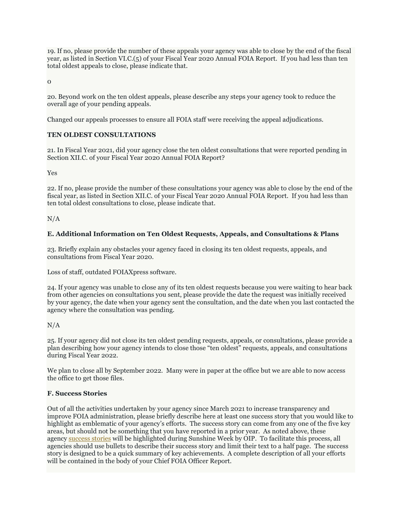19. If no, please provide the number of these appeals your agency was able to close by the end of the fiscal year, as listed in Section VI.C.(5) of your Fiscal Year 2020 Annual FOIA Report. If you had less than ten total oldest appeals to close, please indicate that.

 $\Omega$ 

20. Beyond work on the ten oldest appeals, please describe any steps your agency took to reduce the overall age of your pending appeals.

Changed our appeals processes to ensure all FOIA staff were receiving the appeal adjudications.

### **TEN OLDEST CONSULTATIONS**

21. In Fiscal Year 2021, did your agency close the ten oldest consultations that were reported pending in Section XII.C. of your Fiscal Year 2020 Annual FOIA Report?

Yes

22. If no, please provide the number of these consultations your agency was able to close by the end of the fiscal year, as listed in Section XII.C. of your Fiscal Year 2020 Annual FOIA Report. If you had less than ten total oldest consultations to close, please indicate that.

N/A

#### **E. Additional Information on Ten Oldest Requests, Appeals, and Consultations & Plans**

23. Briefly explain any obstacles your agency faced in closing its ten oldest requests, appeals, and consultations from Fiscal Year 2020.

Loss of staff, outdated FOIAXpress software.

24. If your agency was unable to close any of its ten oldest requests because you were waiting to hear back from other agencies on consultations you sent, please provide the date the request was initially received by your agency, the date when your agency sent the consultation, and the date when you last contacted the agency where the consultation was pending.

N/A

25. If your agency did not close its ten oldest pending requests, appeals, or consultations, please provide a plan describing how your agency intends to close those "ten oldest" requests, appeals, and consultations during Fiscal Year 2022.

We plan to close all by September 2022. Many were in paper at the office but we are able to now access the office to get those files.

#### **F. Success Stories**

Out of all the activities undertaken by your agency since March 2021 to increase transparency and improve FOIA administration, please briefly describe here at least one success story that you would like to highlight as emblematic of your agency's efforts. The success story can come from any one of the five key areas, but should not be something that you have reported in a prior year. As noted above, these agency [success stories](https://www.justice.gov/oip/2015-2016-agency-success-stories) will be highlighted during Sunshine Week by OIP. To facilitate this process, all agencies should use bullets to describe their success story and limit their text to a half page. The success story is designed to be a quick summary of key achievements. A complete description of all your efforts will be contained in the body of your Chief FOIA Officer Report.